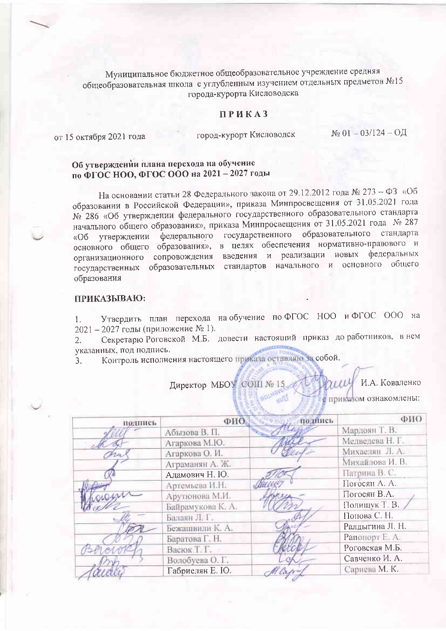Муниципальное бюджетное общеобразовательное учреждение средняя общеобразовательная школа с углубленным изучением отдельных предметов №15 города-курорта Кисловодска

## ПРИКАЗ

от 15 октября 2021 года

город-курорт Кисловодск

 $N_2$  01 - 03/124 - ОД

## Об утверждении плана перехода на обучение по ФГОС НОО, ФГОС ООО на 2021 - 2027 годы

На основании статьи 28 Федерального закона от 29.12.2012 года № 273 - ФЗ «Об образовании в Российской Федерации», приказа Минпросвещения от 31.05.2021 года № 286 «Об утверждении федерального государственного образовательного стандарта начального общего образования», приказа Минпросвещения от 31.05.2021 года № 287 образовательного стандарта федерального государственного утверждении «Об основного общего образования», в целях обеспечения нормативно-правового и сопровождения введения и реализации новых федеральных организационного государственных образовательных стандартов начального и основного общего образования

## ПРИКАЗЫВАЮ:

Утвердить план перехода на обучение по ФГОС НОО и ФГОС ООО на  $1.$ 2021 - 2027 годы (приложение № 1).

Секретарю Роговской М.Б. довести настоящий приказ до работников, в нем  $2.$ указанных, под подпись.

Контроль исполнения настоящего приказа оставляю за собой.  $\mathfrak{Z}$ .

> Директор МБОУ СОШ № 15. И.А. Коваленко е приказом ознакомлены:

| подпись | ФИО               | подпись | ФИО             |
|---------|-------------------|---------|-----------------|
|         | Абызова В. П.     |         | Мардоян Т. В.   |
|         | Агаркова М.Ю.     |         | Медведева Н. Г. |
|         | Агаркова О. И.    |         | Михаелян Л. А.  |
|         | Аграманян А. Ж.   |         | Михайлова И. В. |
|         | Адамович Н. Ю.    |         | Патрина В. С.   |
|         | Артемьева И.Н.    |         | Погосян А. А.   |
| jacque  | Арутюнова М.И.    |         | Погосян В.А.    |
|         | Байрамукова К. А. |         | Полищук Т. В.   |
|         | Балаян Л. Г.      |         | Понова С. Н.    |
|         | Бежашвили К. А.   |         | Ралдыгина Л. Н. |
|         | Баратова Г. Н.    |         | Рапопорт Е. А.  |
|         | Васюк Т. Г.       |         | Роговская М.Б.  |
|         | Волобуева О. Г.   |         | Савченко И. А.  |
|         | Габриелян Е. Ю.   |         | Сариева М. К.   |